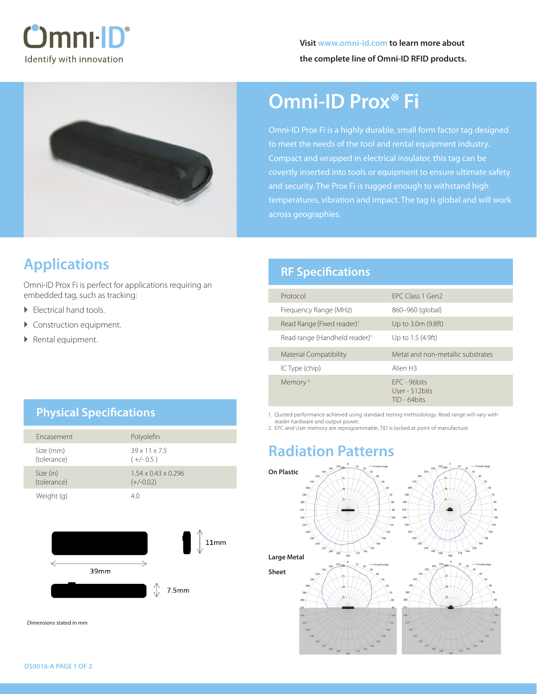



# **Omni-ID Prox® Fi**

Omni-ID Prox Fi is a highly durable, small form factor tag designed to meet the needs of the tool and rental equipment industry. Compact and wrapped in electrical insulator, this tag can be covertly inserted into tools or equipment to ensure ultimate safety and security. The Prox Fi is rugged enough to withstand high temperatures, vibration and impact. The tag is global and will work across geographies.

## **Applications**

Omni-ID Prox Fi is perfect for applications requiring an embedded tag, such as tracking:

- Electrical hand tools.
- ▶ Construction equipment.
- ▶ Rental equipment.

### **RF Specifications**

| FPC Class 1 Gen2                                     |
|------------------------------------------------------|
| 860–960 (global)                                     |
| Up to 3.0m (9.8ft)                                   |
| Up to 1.5 (4.9ft)                                    |
| Metal and non-metallic substrates                    |
| Alien <sub>H3</sub>                                  |
| $FPC - 96$ hits<br>User - 512 bits<br>$TID - 64bits$ |
|                                                      |

1. Quoted performance achieved using standard testing methodology. Read range will vary with reader hardware and output power.

2. EPC and User memory are reprogrammable, TID is locked at point of manufacture.

## **Radiation Patterns**



### **Physical Specifications**

| <b>Fncasement</b>        | Polyolefin                                     |
|--------------------------|------------------------------------------------|
| Size (mm)<br>(tolerance) | $39 \times 11 \times 7.5$<br>$(+/- 0.5)$       |
| Size (in)<br>(tolerance) | $1.54 \times 0.43 \times 0.296$<br>$(+/-0.02)$ |
| Weight (g)               | 40                                             |



Dimensions stated in mm